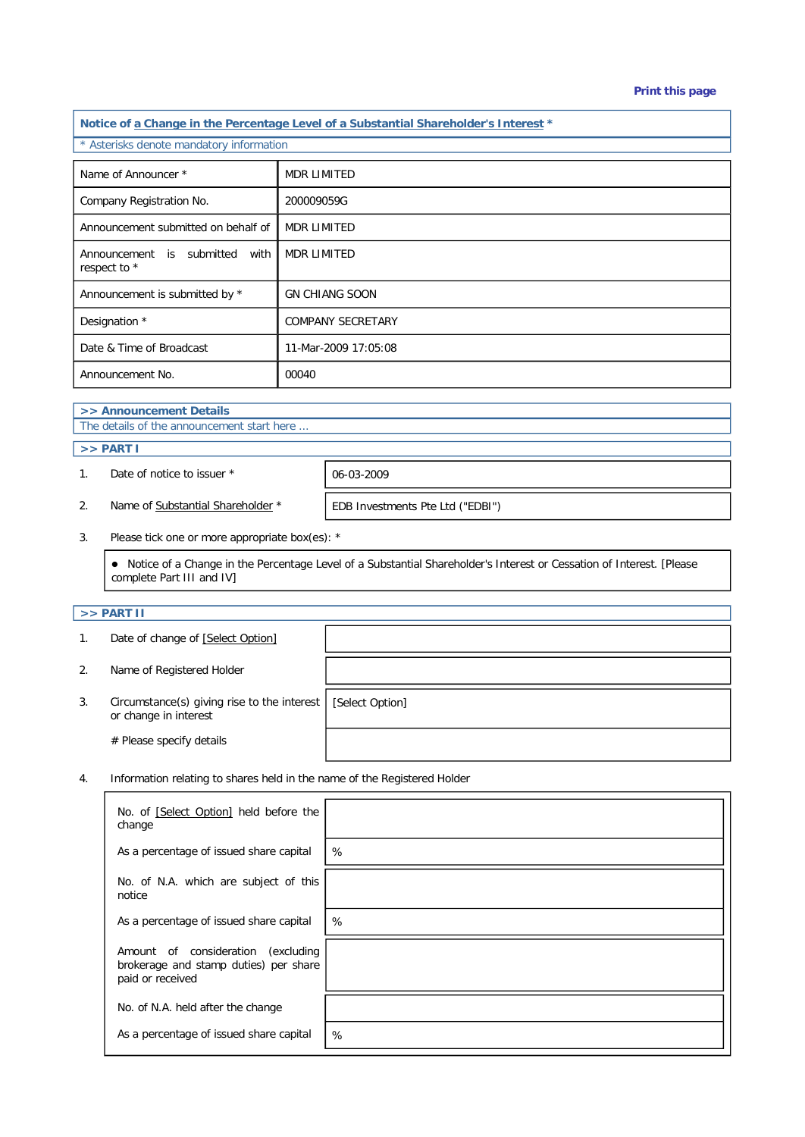#### **Print this page**

**Notice of a Change in the Percentage Level of a Substantial Shareholder's Interest \*** \* Asterisks denote mandatory information Name of Announcer \* MDR LIMITED Company Registration No. 200009059G Announcement submitted on behalf of MDR LIMITED Announcement is submitted with respect to \* MDR LIMITED Announcement is submitted by \* GN CHIANG SOON Designation \* COMPANY SECRETARY Date & Time of Broadcast 11-Mar-2009 17:05:08 Announcement No. 100040

# **>> Announcement Details**

The details of the announcement start here ...

## **>> PART I**

1. Date of notice to issuer \* 06-03-2009

2. Name of Substantial Shareholder \* **EDB** Investments Pte Ltd ("EDBI")

3. Please tick one or more appropriate box(es): \*

 Notice of a Change in the Percentage Level of a Substantial Shareholder's Interest or Cessation of Interest. [Please complete Part III and IV]

### **>> PART II**

|    | Date of change of [Select Option]                                    |                 |
|----|----------------------------------------------------------------------|-----------------|
| 2. | Name of Registered Holder                                            |                 |
| 3. | Circumstance(s) giving rise to the interest<br>or change in interest | [Select Option] |
|    | # Please specify details                                             |                 |

4. Information relating to shares held in the name of the Registered Holder

| No. of [Select Option] held before the<br>change                                                   |   |
|----------------------------------------------------------------------------------------------------|---|
| As a percentage of issued share capital                                                            | % |
| No. of N.A. which are subject of this<br>notice                                                    |   |
| As a percentage of issued share capital                                                            | % |
| Amount of consideration<br>(excluding<br>brokerage and stamp duties) per share<br>paid or received |   |
| No. of N.A. held after the change                                                                  |   |
| As a percentage of issued share capital                                                            | % |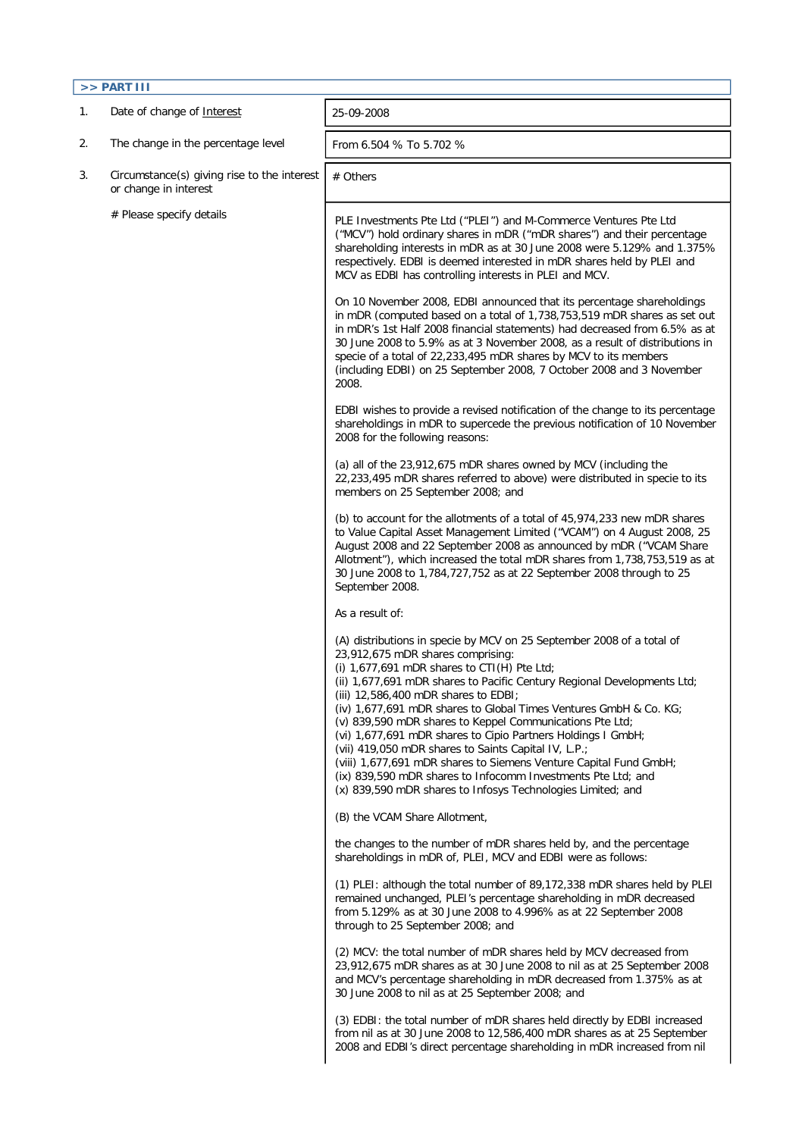| $>>$ PART III |                                                                      |                                                                                                                                                                                                                                                                                                                                                                                                                                                                                                                                                                                                                                                                                                                                             |  |  |  |  |
|---------------|----------------------------------------------------------------------|---------------------------------------------------------------------------------------------------------------------------------------------------------------------------------------------------------------------------------------------------------------------------------------------------------------------------------------------------------------------------------------------------------------------------------------------------------------------------------------------------------------------------------------------------------------------------------------------------------------------------------------------------------------------------------------------------------------------------------------------|--|--|--|--|
| 1.            | Date of change of Interest                                           | 25-09-2008                                                                                                                                                                                                                                                                                                                                                                                                                                                                                                                                                                                                                                                                                                                                  |  |  |  |  |
| 2.            | The change in the percentage level                                   | From 6.504 % To 5.702 %                                                                                                                                                                                                                                                                                                                                                                                                                                                                                                                                                                                                                                                                                                                     |  |  |  |  |
| 3.            | Circumstance(s) giving rise to the interest<br>or change in interest | # Others                                                                                                                                                                                                                                                                                                                                                                                                                                                                                                                                                                                                                                                                                                                                    |  |  |  |  |
|               | # Please specify details                                             | PLE Investments Pte Ltd ("PLEI") and M-Commerce Ventures Pte Ltd<br>("MCV") hold ordinary shares in mDR ("mDR shares") and their percentage<br>shareholding interests in mDR as at 30 June 2008 were 5.129% and 1.375%<br>respectively. EDBI is deemed interested in mDR shares held by PLEI and<br>MCV as EDBI has controlling interests in PLEI and MCV.                                                                                                                                                                                                                                                                                                                                                                                  |  |  |  |  |
|               |                                                                      | On 10 November 2008, EDBI announced that its percentage shareholdings<br>in mDR (computed based on a total of 1,738,753,519 mDR shares as set out<br>in mDR's 1st Half 2008 financial statements) had decreased from 6.5% as at<br>30 June 2008 to 5.9% as at 3 November 2008, as a result of distributions in<br>specie of a total of 22,233,495 mDR shares by MCV to its members<br>(including EDBI) on 25 September 2008, 7 October 2008 and 3 November<br>2008.                                                                                                                                                                                                                                                                         |  |  |  |  |
|               |                                                                      | EDBI wishes to provide a revised notification of the change to its percentage<br>shareholdings in mDR to supercede the previous notification of 10 November<br>2008 for the following reasons:                                                                                                                                                                                                                                                                                                                                                                                                                                                                                                                                              |  |  |  |  |
|               |                                                                      | (a) all of the 23,912,675 mDR shares owned by MCV (including the<br>22,233,495 mDR shares referred to above) were distributed in specie to its<br>members on 25 September 2008; and                                                                                                                                                                                                                                                                                                                                                                                                                                                                                                                                                         |  |  |  |  |
|               |                                                                      | (b) to account for the allotments of a total of 45,974,233 new mDR shares<br>to Value Capital Asset Management Limited ("VCAM") on 4 August 2008, 25<br>August 2008 and 22 September 2008 as announced by mDR ("VCAM Share<br>Allotment"), which increased the total mDR shares from 1,738,753,519 as at<br>30 June 2008 to 1,784,727,752 as at 22 September 2008 through to 25<br>September 2008.                                                                                                                                                                                                                                                                                                                                          |  |  |  |  |
|               |                                                                      | As a result of:                                                                                                                                                                                                                                                                                                                                                                                                                                                                                                                                                                                                                                                                                                                             |  |  |  |  |
|               |                                                                      | (A) distributions in specie by MCV on 25 September 2008 of a total of<br>23,912,675 mDR shares comprising:<br>(i) $1,677,691$ mDR shares to CTI(H) Pte Ltd;<br>(ii) 1,677,691 mDR shares to Pacific Century Regional Developments Ltd;<br>(iii) 12,586,400 mDR shares to EDBI;<br>(iv) 1,677,691 mDR shares to Global Times Ventures GmbH & Co. KG;<br>(v) 839,590 mDR shares to Keppel Communications Pte Ltd;<br>(vi) 1,677,691 mDR shares to Cipio Partners Holdings I GmbH;<br>(vii) 419,050 mDR shares to Saints Capital IV, L.P.;<br>(viii) 1,677,691 mDR shares to Siemens Venture Capital Fund GmbH;<br>(ix) 839,590 mDR shares to Infocomm Investments Pte Ltd; and<br>(x) 839,590 mDR shares to Infosys Technologies Limited; and |  |  |  |  |
|               |                                                                      | (B) the VCAM Share Allotment,                                                                                                                                                                                                                                                                                                                                                                                                                                                                                                                                                                                                                                                                                                               |  |  |  |  |
|               |                                                                      | the changes to the number of mDR shares held by, and the percentage<br>shareholdings in mDR of, PLEI, MCV and EDBI were as follows:                                                                                                                                                                                                                                                                                                                                                                                                                                                                                                                                                                                                         |  |  |  |  |
|               |                                                                      | (1) PLEI: although the total number of 89,172,338 mDR shares held by PLEI<br>remained unchanged, PLEI's percentage shareholding in mDR decreased<br>from 5.129% as at 30 June 2008 to 4.996% as at 22 September 2008<br>through to 25 September 2008; and                                                                                                                                                                                                                                                                                                                                                                                                                                                                                   |  |  |  |  |
|               |                                                                      | (2) MCV: the total number of mDR shares held by MCV decreased from<br>23,912,675 mDR shares as at 30 June 2008 to nil as at 25 September 2008<br>and MCV's percentage shareholding in mDR decreased from 1.375% as at<br>30 June 2008 to nil as at 25 September 2008; and                                                                                                                                                                                                                                                                                                                                                                                                                                                                   |  |  |  |  |
|               |                                                                      | (3) EDBI: the total number of mDR shares held directly by EDBI increased<br>from nil as at 30 June 2008 to 12,586,400 mDR shares as at 25 September<br>2008 and EDBI's direct percentage shareholding in mDR increased from nil                                                                                                                                                                                                                                                                                                                                                                                                                                                                                                             |  |  |  |  |